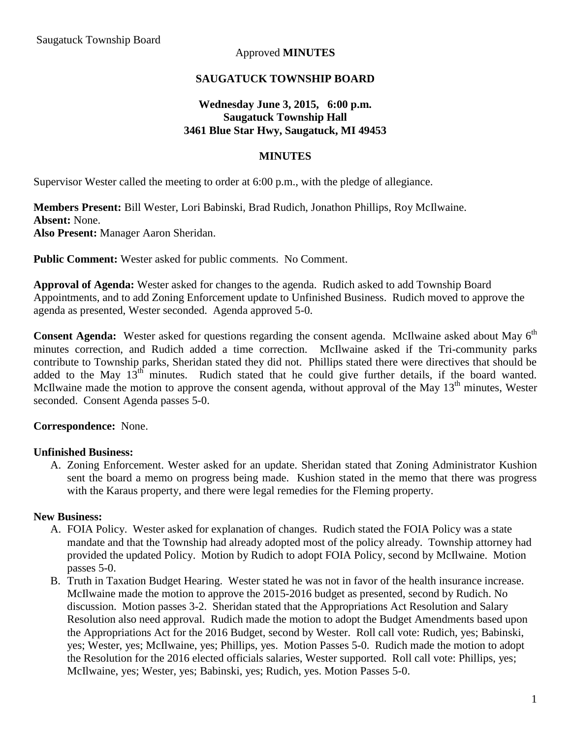### Approved **MINUTES**

### **SAUGATUCK TOWNSHIP BOARD**

## **Wednesday June 3, 2015, 6:00 p.m. Saugatuck Township Hall 3461 Blue Star Hwy, Saugatuck, MI 49453**

#### **MINUTES**

Supervisor Wester called the meeting to order at 6:00 p.m., with the pledge of allegiance.

**Members Present:** Bill Wester, Lori Babinski, Brad Rudich, Jonathon Phillips, Roy McIlwaine. **Absent:** None. **Also Present:** Manager Aaron Sheridan.

**Public Comment:** Wester asked for public comments. No Comment.

**Approval of Agenda:** Wester asked for changes to the agenda. Rudich asked to add Township Board Appointments, and to add Zoning Enforcement update to Unfinished Business. Rudich moved to approve the agenda as presented, Wester seconded. Agenda approved 5-0.

**Consent Agenda:** Wester asked for questions regarding the consent agenda. McIlwaine asked about May 6<sup>th</sup> minutes correction, and Rudich added a time correction. McIlwaine asked if the Tri-community parks contribute to Township parks, Sheridan stated they did not. Phillips stated there were directives that should be added to the May  $13<sup>th</sup>$  minutes. Rudich stated that he could give further details, if the board wanted. McIlwaine made the motion to approve the consent agenda, without approval of the May  $13<sup>th</sup>$  minutes, Wester seconded. Consent Agenda passes 5-0.

## **Correspondence:** None.

#### **Unfinished Business:**

A. Zoning Enforcement. Wester asked for an update. Sheridan stated that Zoning Administrator Kushion sent the board a memo on progress being made. Kushion stated in the memo that there was progress with the Karaus property, and there were legal remedies for the Fleming property.

#### **New Business:**

- A. FOIA Policy. Wester asked for explanation of changes. Rudich stated the FOIA Policy was a state mandate and that the Township had already adopted most of the policy already. Township attorney had provided the updated Policy. Motion by Rudich to adopt FOIA Policy, second by McIlwaine. Motion passes 5-0.
- B. Truth in Taxation Budget Hearing. Wester stated he was not in favor of the health insurance increase. McIlwaine made the motion to approve the 2015-2016 budget as presented, second by Rudich. No discussion. Motion passes 3-2. Sheridan stated that the Appropriations Act Resolution and Salary Resolution also need approval. Rudich made the motion to adopt the Budget Amendments based upon the Appropriations Act for the 2016 Budget, second by Wester. Roll call vote: Rudich, yes; Babinski, yes; Wester, yes; McIlwaine, yes; Phillips, yes. Motion Passes 5-0. Rudich made the motion to adopt the Resolution for the 2016 elected officials salaries, Wester supported. Roll call vote: Phillips, yes; McIlwaine, yes; Wester, yes; Babinski, yes; Rudich, yes. Motion Passes 5-0.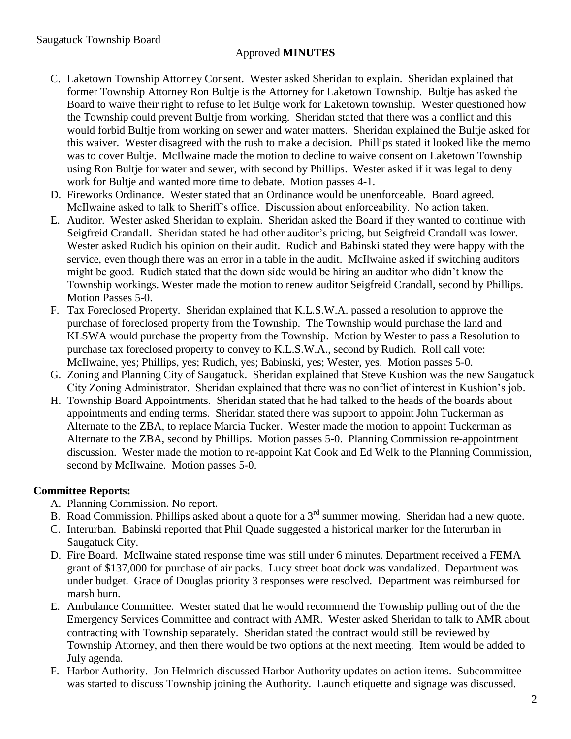## Approved **MINUTES**

- C. Laketown Township Attorney Consent. Wester asked Sheridan to explain. Sheridan explained that former Township Attorney Ron Bultje is the Attorney for Laketown Township. Bultje has asked the Board to waive their right to refuse to let Bultje work for Laketown township. Wester questioned how the Township could prevent Bultje from working. Sheridan stated that there was a conflict and this would forbid Bultje from working on sewer and water matters. Sheridan explained the Bultje asked for this waiver. Wester disagreed with the rush to make a decision. Phillips stated it looked like the memo was to cover Bultje. McIlwaine made the motion to decline to waive consent on Laketown Township using Ron Bultje for water and sewer, with second by Phillips. Wester asked if it was legal to deny work for Bultie and wanted more time to debate. Motion passes 4-1.
- D. Fireworks Ordinance. Wester stated that an Ordinance would be unenforceable. Board agreed. McIlwaine asked to talk to Sheriff's office. Discussion about enforceability. No action taken.
- E. Auditor. Wester asked Sheridan to explain. Sheridan asked the Board if they wanted to continue with Seigfreid Crandall. Sheridan stated he had other auditor's pricing, but Seigfreid Crandall was lower. Wester asked Rudich his opinion on their audit. Rudich and Babinski stated they were happy with the service, even though there was an error in a table in the audit. McIlwaine asked if switching auditors might be good. Rudich stated that the down side would be hiring an auditor who didn't know the Township workings. Wester made the motion to renew auditor Seigfreid Crandall, second by Phillips. Motion Passes 5-0.
- F. Tax Foreclosed Property. Sheridan explained that K.L.S.W.A. passed a resolution to approve the purchase of foreclosed property from the Township. The Township would purchase the land and KLSWA would purchase the property from the Township. Motion by Wester to pass a Resolution to purchase tax foreclosed property to convey to K.L.S.W.A., second by Rudich. Roll call vote: McIlwaine, yes; Phillips, yes; Rudich, yes; Babinski, yes; Wester, yes. Motion passes 5-0.
- G. Zoning and Planning City of Saugatuck. Sheridan explained that Steve Kushion was the new Saugatuck City Zoning Administrator. Sheridan explained that there was no conflict of interest in Kushion's job.
- H. Township Board Appointments. Sheridan stated that he had talked to the heads of the boards about appointments and ending terms. Sheridan stated there was support to appoint John Tuckerman as Alternate to the ZBA, to replace Marcia Tucker. Wester made the motion to appoint Tuckerman as Alternate to the ZBA, second by Phillips. Motion passes 5-0. Planning Commission re-appointment discussion. Wester made the motion to re-appoint Kat Cook and Ed Welk to the Planning Commission, second by McIlwaine. Motion passes 5-0.

# **Committee Reports:**

- A. Planning Commission. No report.
- B. Road Commission. Phillips asked about a quote for a  $3<sup>rd</sup>$  summer mowing. Sheridan had a new quote.
- C. Interurban. Babinski reported that Phil Quade suggested a historical marker for the Interurban in Saugatuck City.
- D. Fire Board. McIlwaine stated response time was still under 6 minutes. Department received a FEMA grant of \$137,000 for purchase of air packs. Lucy street boat dock was vandalized. Department was under budget. Grace of Douglas priority 3 responses were resolved. Department was reimbursed for marsh burn.
- E. Ambulance Committee. Wester stated that he would recommend the Township pulling out of the the Emergency Services Committee and contract with AMR. Wester asked Sheridan to talk to AMR about contracting with Township separately. Sheridan stated the contract would still be reviewed by Township Attorney, and then there would be two options at the next meeting. Item would be added to July agenda.
- F. Harbor Authority. Jon Helmrich discussed Harbor Authority updates on action items. Subcommittee was started to discuss Township joining the Authority. Launch etiquette and signage was discussed.